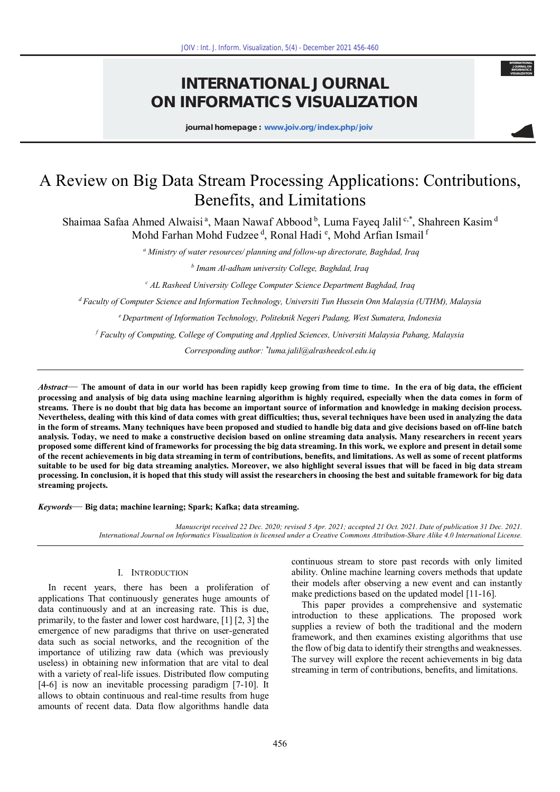# **INTERNATIONAL JOURNAL ON INFORMATICS VISUALIZATION**

**journal homepage : www.joiv.org/index.php/joiv**

**INTERNATIONAL JOURNAL ON INFORMATICS VISUALIZATION**

# A Review on Big Data Stream Processing Applications: Contributions, Benefits, and Limitations

Shaimaa Safaa Ahmed Alwaisi<sup>a</sup>, Maan Nawaf Abbood<sup>b</sup>, Luma Fayeq Jalil<sup>c,\*</sup>, Shahreen Kasim<sup>d</sup> Mohd Farhan Mohd Fudzee <sup>d</sup>, Ronal Hadi <sup>e</sup>, Mohd Arfian Ismail <sup>f</sup>

*a Ministry of water resources/ planning and follow-up directorate, Baghdad, Iraq* 

*b Imam Al-adham university College, Baghdad, Iraq* 

*c AL Rasheed University College Computer Science Department Baghdad, Iraq* 

*<sup>d</sup>Faculty of Computer Science and Information Technology, Universiti Tun Hussein Onn Malaysia (UTHM), Malaysia* 

*<sup>e</sup>Department of Information Technology, Politeknik Negeri Padang, West Sumatera, Indonesia* 

*f Faculty of Computing, College of Computing and Applied Sciences, Universiti Malaysia Pahang, Malaysia* 

*Corresponding author: \* luma.jalil@alrasheedcol.edu.iq* 

*Abstract—* **The amount of data in our world has been rapidly keep growing from time to time. In the era of big data, the efficient processing and analysis of big data using machine learning algorithm is highly required, especially when the data comes in form of streams. There is no doubt that big data has become an important source of information and knowledge in making decision process. Nevertheless, dealing with this kind of data comes with great difficulties; thus, several techniques have been used in analyzing the data in the form of streams. Many techniques have been proposed and studied to handle big data and give decisions based on off-line batch analysis. Today, we need to make a constructive decision based on online streaming data analysis. Many researchers in recent years proposed some different kind of frameworks for processing the big data streaming. In this work, we explore and present in detail some of the recent achievements in big data streaming in term of contributions, benefits, and limitations. As well as some of recent platforms suitable to be used for big data streaming analytics. Moreover, we also highlight several issues that will be faced in big data stream processing. In conclusion, it is hoped that this study will assist the researchers in choosing the best and suitable framework for big data streaming projects.**  1607 : Int. J. Inform. Visualization, 5(d) - December 2021 456-460<br>
INTERNATIONAL JOURNA<br>
JUNEERNATION IS VISUALIZA<br>
journal homepage : www.joiv.org/index.php/joiv<br>
ta Stream Processing Applice<br>
Benefits, and Limitations<br>

*Keywords—* **Big data; machine learning; Spark; Kafka; data streaming.**

*Manuscript received 22 Dec. 2020; revised 5 Apr. 2021; accepted 21 Oct. 2021. Date of publication 31 Dec. 2021. International Journal on Informatics Visualization is licensed under a Creative Commons Attribution-Share Alike 4.0 International License.* 

# I. INTRODUCTION

In recent years, there has been a proliferation of applications That continuously generates huge amounts of data continuously and at an increasing rate. This is due, primarily, to the faster and lower cost hardware, [1] [2, 3] the emergence of new paradigms that thrive on user-generated data such as social networks, and the recognition of the importance of utilizing raw data (which was previously useless) in obtaining new information that are vital to deal with a variety of real-life issues. Distributed flow computing [4-6] is now an inevitable processing paradigm [7-10]. It allows to obtain continuous and real-time results from huge amounts of recent data. Data flow algorithms handle data continuous stream to store past records with only limited ability. Online machine learning covers methods that update their models after observing a new event and can instantly make predictions based on the updated model [11-16].

This paper provides a comprehensive and systematic introduction to these applications. The proposed work supplies a review of both the traditional and the modern framework, and then examines existing algorithms that use the flow of big data to identify their strengths and weaknesses. The survey will explore the recent achievements in big data streaming in term of contributions, benefits, and limitations.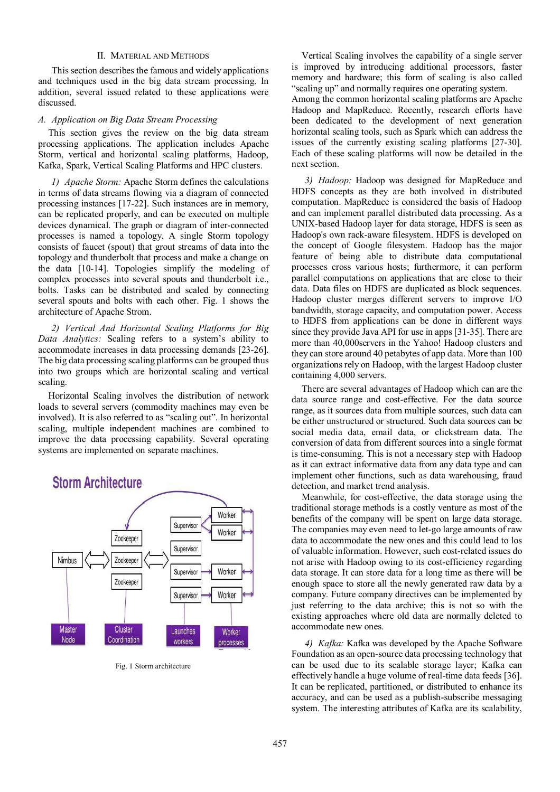# II. MATERIAL AND METHODS

This section describes the famous and widely applications and techniques used in the big data stream processing. In addition, several issued related to these applications were discussed.

## *A. Application on Big Data Stream Processing*

This section gives the review on the big data stream processing applications. The application includes Apache Storm, vertical and horizontal scaling platforms, Hadoop, Kafka, Spark, Vertical Scaling Platforms and HPC clusters.

*1) Apache Storm:* Apache Storm defines the calculations in terms of data streams flowing via a diagram of connected processing instances [17-22]. Such instances are in memory, can be replicated properly, and can be executed on multiple devices dynamical. The graph or diagram of inter-connected processes is named a topology. A single Storm topology consists of faucet (spout) that grout streams of data into the topology and thunderbolt that process and make a change on the data [10-14]. Topologies simplify the modeling of complex processes into several spouts and thunderbolt i.e., bolts. Tasks can be distributed and scaled by connecting several spouts and bolts with each other. Fig. 1 shows the architecture of Apache Strom.

*2) Vertical And Horizontal Scaling Platforms for Big Data Analytics:* Scaling refers to a system's ability to accommodate increases in data processing demands [23-26]. The big data processing scaling platforms can be grouped thus into two groups which are horizontal scaling and vertical scaling.

Horizontal Scaling involves the distribution of network loads to several servers (commodity machines may even be involved). It is also referred to as "scaling out". In horizontal scaling, multiple independent machines are combined to improve the data processing capability. Several operating systems are implemented on separate machines.



Fig. 1 Storm architecture

Vertical Scaling involves the capability of a single server is improved by introducing additional processors, faster memory and hardware; this form of scaling is also called "scaling up" and normally requires one operating system.

Among the common horizontal scaling platforms are Apache Hadoop and MapReduce. Recently, research efforts have been dedicated to the development of next generation horizontal scaling tools, such as Spark which can address the issues of the currently existing scaling platforms [27-30]. Each of these scaling platforms will now be detailed in the next section.

*3) Hadoop:* Hadoop was designed for MapReduce and HDFS concepts as they are both involved in distributed computation. MapReduce is considered the basis of Hadoop and can implement parallel distributed data processing. As a UNIX-based Hadoop layer for data storage, HDFS is seen as Hadoop's own rack-aware filesystem. HDFS is developed on the concept of Google filesystem. Hadoop has the major feature of being able to distribute data computational processes cross various hosts; furthermore, it can perform parallel computations on applications that are close to their data. Data files on HDFS are duplicated as block sequences. Hadoop cluster merges different servers to improve I/O bandwidth, storage capacity, and computation power. Access to HDFS from applications can be done in different ways since they provide Java API for use in apps [31-35]. There are more than 40,000servers in the Yahoo! Hadoop clusters and they can store around 40 petabytes of app data. More than 100 organizations rely on Hadoop, with the largest Hadoop cluster containing 4,000 servers.

There are several advantages of Hadoop which can are the data source range and cost-effective. For the data source range, as it sources data from multiple sources, such data can be either unstructured or structured. Such data sources can be social media data, email data, or clickstream data. The conversion of data from different sources into a single format is time-consuming. This is not a necessary step with Hadoop as it can extract informative data from any data type and can implement other functions, such as data warehousing, fraud detection, and market trend analysis.

Meanwhile, for cost-effective, the data storage using the traditional storage methods is a costly venture as most of the benefits of the company will be spent on large data storage. The companies may even need to let-go large amounts of raw data to accommodate the new ones and this could lead to los of valuable information. However, such cost-related issues do not arise with Hadoop owing to its cost-efficiency regarding data storage. It can store data for a long time as there will be enough space to store all the newly generated raw data by a company. Future company directives can be implemented by just referring to the data archive; this is not so with the existing approaches where old data are normally deleted to accommodate new ones.

*4) Kafka:* Kafka was developed by the Apache Software Foundation as an open-source data processing technology that can be used due to its scalable storage layer; Kafka can effectively handle a huge volume of real-time data feeds [36]. It can be replicated, partitioned, or distributed to enhance its accuracy, and can be used as a publish-subscribe messaging system. The interesting attributes of Kafka are its scalability,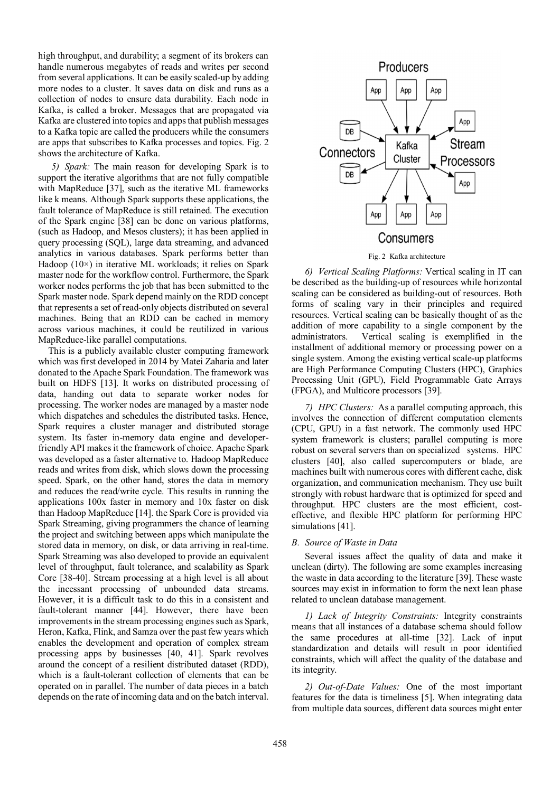high throughput, and durability; a segment of its brokers can handle numerous megabytes of reads and writes per second from several applications. It can be easily scaled-up by adding more nodes to a cluster. It saves data on disk and runs as a collection of nodes to ensure data durability. Each node in Kafka, is called a broker. Messages that are propagated via Kafka are clustered into topics and apps that publish messages to a Kafka topic are called the producers while the consumers are apps that subscribes to Kafka processes and topics. Fig. 2 shows the architecture of Kafka.

*5) Spark:* The main reason for developing Spark is to support the iterative algorithms that are not fully compatible with MapReduce [37], such as the iterative ML frameworks like k means. Although Spark supports these applications, the fault tolerance of MapReduce is still retained. The execution of the Spark engine [38] can be done on various platforms, (such as Hadoop, and Mesos clusters); it has been applied in query processing (SQL), large data streaming, and advanced analytics in various databases. Spark performs better than Hadoop (10×) in iterative ML workloads; it relies on Spark master node for the workflow control. Furthermore, the Spark worker nodes performs the job that has been submitted to the Spark master node. Spark depend mainly on the RDD concept that represents a set of read-only objects distributed on several machines. Being that an RDD can be cached in memory across various machines, it could be reutilized in various MapReduce-like parallel computations.

This is a publicly available cluster computing framework which was first developed in 2014 by Matei Zaharia and later donated to the Apache Spark Foundation. The framework was built on HDFS [13]. It works on distributed processing of data, handing out data to separate worker nodes for processing. The worker nodes are managed by a master node which dispatches and schedules the distributed tasks. Hence, Spark requires a cluster manager and distributed storage system. Its faster in-memory data engine and developerfriendly API makes it the framework of choice. Apache Spark was developed as a faster alternative to. Hadoop MapReduce reads and writes from disk, which slows down the processing speed. Spark, on the other hand, stores the data in memory and reduces the read/write cycle. This results in running the applications 100x faster in memory and 10x faster on disk than Hadoop MapReduce [14]. the Spark Core is provided via Spark Streaming, giving programmers the chance of learning the project and switching between apps which manipulate the stored data in memory, on disk, or data arriving in real-time. Spark Streaming was also developed to provide an equivalent level of throughput, fault tolerance, and scalability as Spark Core [38-40]. Stream processing at a high level is all about the incessant processing of unbounded data streams. However, it is a difficult task to do this in a consistent and fault-tolerant manner [44]. However, there have been improvements in the stream processing engines such as Spark, Heron, Kafka, Flink, and Samza over the past few years which enables the development and operation of complex stream processing apps by businesses [40, 41]. Spark revolves around the concept of a resilient distributed dataset (RDD), which is a fault-tolerant collection of elements that can be operated on in parallel. The number of data pieces in a batch depends on the rate of incoming data and on the batch interval.



Fig. 2 Kafka architecture

*6) Vertical Scaling Platforms:* Vertical scaling in IT can be described as the building-up of resources while horizontal scaling can be considered as building-out of resources. Both forms of scaling vary in their principles and required resources. Vertical scaling can be basically thought of as the addition of more capability to a single component by the administrators. Vertical scaling is exemplified in the installment of additional memory or processing power on a single system. Among the existing vertical scale-up platforms are High Performance Computing Clusters (HPC), Graphics Processing Unit (GPU), Field Programmable Gate Arrays (FPGA), and Multicore processors [39].

*7) HPC Clusters:* As a parallel computing approach, this involves the connection of different computation elements (CPU, GPU) in a fast network. The commonly used HPC system framework is clusters; parallel computing is more robust on several servers than on specialized systems. HPC clusters [40], also called supercomputers or blade, are machines built with numerous cores with different cache, disk organization, and communication mechanism. They use built strongly with robust hardware that is optimized for speed and throughput. HPC clusters are the most efficient, costeffective, and flexible HPC platform for performing HPC simulations [41].

# *B. Source of Waste in Data*

 Several issues affect the quality of data and make it unclean (dirty). The following are some examples increasing the waste in data according to the literature [39]. These waste sources may exist in information to form the next lean phase related to unclean database management.

*1) Lack of Integrity Constraints:* Integrity constraints means that all instances of a database schema should follow the same procedures at all-time [32]. Lack of input standardization and details will result in poor identified constraints, which will affect the quality of the database and its integrity.

*2) Out-of-Date Values:* One of the most important features for the data is timeliness [5]. When integrating data from multiple data sources, different data sources might enter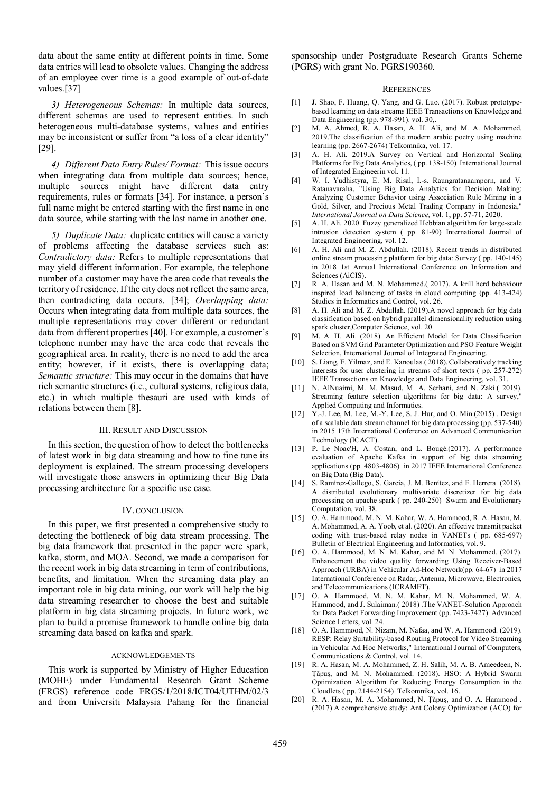data about the same entity at different points in time. Some data entries will lead to obsolete values. Changing the address of an employee over time is a good example of out-of-date values.[37]

*3) Heterogeneous Schemas:* In multiple data sources, different schemas are used to represent entities. In such heterogeneous multi-database systems, values and entities may be inconsistent or suffer from "a loss of a clear identity" [29].

*4) Different Data Entry Rules/ Format:* This issue occurs when integrating data from multiple data sources; hence, multiple sources might have different data entry requirements, rules or formats [34]. For instance, a person's full name might be entered starting with the first name in one data source, while starting with the last name in another one.

*5) Duplicate Data:* duplicate entities will cause a variety of problems affecting the database services such as: *Contradictory data:* Refers to multiple representations that may yield different information. For example, the telephone number of a customer may have the area code that reveals the territory of residence. If the city does not reflect the same area, then contradicting data occurs. [34]; *Overlapping data:* Occurs when integrating data from multiple data sources, the multiple representations may cover different or redundant data from different properties [40]. For example, a customer's telephone number may have the area code that reveals the geographical area. In reality, there is no need to add the area entity; however, if it exists, there is overlapping data; *Semantic structure:* This may occur in the domains that have rich semantic structures (i.e., cultural systems, religious data, etc.) in which multiple thesauri are used with kinds of relations between them [8].

## III. RESULT AND DISCUSSION

In this section, the question of how to detect the bottlenecks of latest work in big data streaming and how to fine tune its deployment is explained. The stream processing developers will investigate those answers in optimizing their Big Data processing architecture for a specific use case.

### IV. CONCLUSION

In this paper, we first presented a comprehensive study to detecting the bottleneck of big data stream processing. The big data framework that presented in the paper were spark, kafka, storm, and MOA. Second, we made a comparison for the recent work in big data streaming in term of contributions, benefits, and limitation. When the streaming data play an important role in big data mining, our work will help the big data streaming researcher to choose the best and suitable platform in big data streaming projects. In future work, we plan to build a promise framework to handle online big data streaming data based on kafka and spark.

### ACKNOWLEDGEMENTS

This work is supported by Ministry of Higher Education (MOHE) under Fundamental Research Grant Scheme (FRGS) reference code FRGS/1/2018/ICT04/UTHM/02/3 and from Universiti Malaysia Pahang for the financial

sponsorship under Postgraduate Research Grants Scheme (PGRS) with grant No. PGRS190360.

#### **REFERENCES**

- [1] J. Shao, F. Huang, Q. Yang, and G. Luo. (2017). Robust prototypebased learning on data streams IEEE Transactions on Knowledge and Data Engineering (pp. 978-991). vol. 30,.
- [2] M. A. Ahmed, R. A. Hasan, A. H. Ali, and M. A. Mohammed. 2019.The classification of the modern arabic poetry using machine learning (pp. 2667-2674) Telkomnika, vol. 17.
- [3] A. H. Ali. 2019.A Survey on Vertical and Horizontal Scaling Platforms for Big Data Analytics, ( pp. 138-150) International Journal of Integrated Engineerin vol. 11.
- [4] W. I. Yudhistyra, E. M. Risal, I.-s. Raungratanaamporn, and V. Ratanavaraha, "Using Big Data Analytics for Decision Making: Analyzing Customer Behavior using Association Rule Mining in a Gold, Silver, and Precious Metal Trading Company in Indonesia," *International Journal on Data Science,* vol. 1, pp. 57-71, 2020.
- [5] A. H. Ali. 2020. Fuzzy generalized Hebbian algorithm for large-scale intrusion detection system ( pp. 81-90) International Journal of Integrated Engineering, vol. 12.
- [6] A. H. Ali and M. Z. Abdullah. (2018). Recent trends in distributed online stream processing platform for big data: Survey ( pp. 140-145) in 2018 1st Annual International Conference on Information and Sciences (AiCIS).
- [7] R. A. Hasan and M. N. Mohammed.( 2017). A krill herd behaviour inspired load balancing of tasks in cloud computing (pp. 413-424) Studies in Informatics and Control, vol. 26.
- [8] A. H. Ali and M. Z. Abdullah. (2019). A novel approach for big data classification based on hybrid parallel dimensionality reduction using spark cluster,Computer Science, vol. 20.
- [9] M. A. H. Ali. (2018). An Efficient Model for Data Classification Based on SVM Grid Parameter Optimization and PSO Feature Weight Selection, International Journal of Integrated Engineering.
- [10] S. Liang, E. Yilmaz, and E. Kanoulas.(2018). Collaboratively tracking interests for user clustering in streams of short texts ( pp. 257-272) IEEE Transactions on Knowledge and Data Engineering, vol. 31.
- [11] N. AlNuaimi, M. M. Masud, M. A. Serhani, and N. Zaki.( 2019). Streaming feature selection algorithms for big data: A survey," Applied Computing and Informatics.
- [12] Y.-J. Lee, M. Lee, M.-Y. Lee, S. J. Hur, and O. Min.(2015). Design of a scalable data stream channel for big data processing (pp. 537-540) in 2015 17th International Conference on Advanced Communication Technology (ICACT).
- [13] P. Le Noac'H, A. Costan, and L. Bougé.(2017). A performance evaluation of Apache Kafka in support of big data streaming applications (pp. 4803-4806) in 2017 IEEE International Conference on Big Data (Big Data).
- [14] S. Ramírez-Gallego, S. García, J. M. Benítez, and F. Herrera. (2018). A distributed evolutionary multivariate discretizer for big data processing on apache spark ( pp. 240-250) Swarm and Evolutionary Computation, vol. 38.
- [15] O. A. Hammood, M. N. M. Kahar, W. A. Hammood, R. A. Hasan, M. A. Mohammed, A. A. Yoob, et al. (2020). An effective transmit packet coding with trust-based relay nodes in VANETs ( pp. 685-697) Bulletin of Electrical Engineering and Informatics, vol. 9.
- [16] O. A. Hammood, M. N. M. Kahar, and M. N. Mohammed. (2017). Enhancement the video quality forwarding Using Receiver-Based Approach (URBA) in Vehicular Ad-Hoc Network(pp. 64-67) in 2017 International Conference on Radar, Antenna, Microwave, Electronics, and Telecommunications (ICRAMET).
- [17] O. A. Hammood, M. N. M. Kahar, M. N. Mohammed, W. A. Hammood, and J. Sulaiman.( 2018) .The VANET-Solution Approach for Data Packet Forwarding Improvement (pp. 7423-7427) Advanced Science Letters, vol. 24.
- [18] O. A. Hammood, N. Nizam, M. Nafaa, and W. A. Hammood. (2019). RESP: Relay Suitability-based Routing Protocol for Video Streaming in Vehicular Ad Hoc Networks," International Journal of Computers, Communications & Control, vol. 14.
- [19] R. A. Hasan, M. A. Mohammed, Z. H. Salih, M. A. B. Ameedeen, N. Ţăpuş, and M. N. Mohammed. (2018). HSO: A Hybrid Swarm Optimization Algorithm for Reducing Energy Consumption in the Cloudlets ( pp. 2144-2154) Telkomnika, vol. 16..
- [20] R. A. Hasan, M. A. Mohammed, N. Ţăpuş, and O. A. Hammood . (2017).A comprehensive study: Ant Colony Optimization (ACO) for